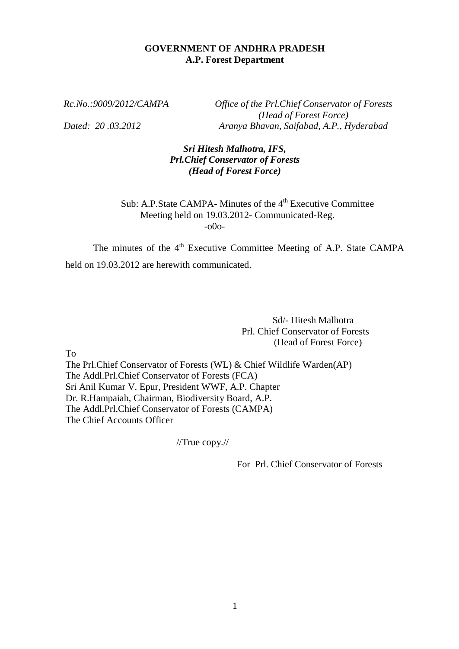#### **GOVERNMENT OF ANDHRA PRADESH A.P. Forest Department**

*Rc.No.:9009/2012/CAMPA Office of the Prl.Chief Conservator of Forests (Head of Forest Force) Dated: 20 .03.2012 Aranya Bhavan, Saifabad, A.P., Hyderabad*

> *Sri Hitesh Malhotra, IFS, Prl.Chief Conservator of Forests (Head of Forest Force)*

Sub: A.P.State CAMPA- Minutes of the 4<sup>th</sup> Executive Committee Meeting held on 19.03.2012- Communicated-Reg. -o0o-

The minutes of the 4<sup>th</sup> Executive Committee Meeting of A.P. State CAMPA held on 19.03.2012 are herewith communicated.

> Sd/- Hitesh Malhotra Prl. Chief Conservator of Forests (Head of Forest Force)

To

The Prl.Chief Conservator of Forests (WL) & Chief Wildlife Warden(AP) The Addl.Prl.Chief Conservator of Forests (FCA) Sri Anil Kumar V. Epur, President WWF, A.P. Chapter Dr. R.Hampaiah, Chairman, Biodiversity Board, A.P. The Addl.Prl.Chief Conservator of Forests (CAMPA) The Chief Accounts Officer

//True copy.//

For Prl. Chief Conservator of Forests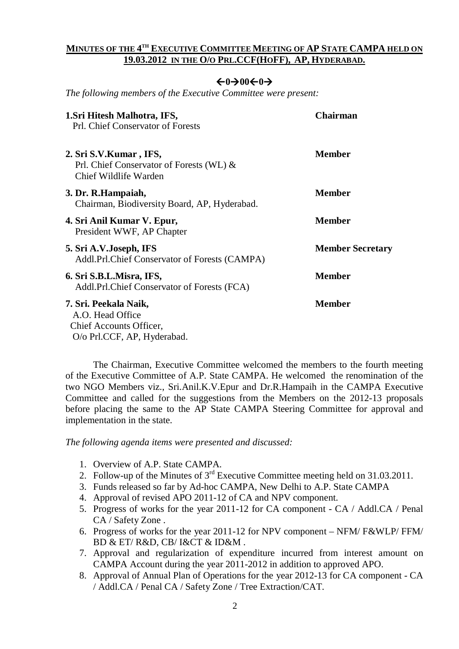#### **MINUTES OF THE 4 TH EXECUTIVE COMMITTEE MEETING OF AP STATE CAMPA HELD ON 19.03.2012 IN THE O/O PRL.CCF(HOFF), AP, HYDERABAD.**

### $\leftarrow 0 \rightarrow 00 \leftarrow 0 \rightarrow$

*The following members of the Executive Committee were present:*

| 1. Sri Hitesh Malhotra, IFS,<br>Prl. Chief Conservator of Forests                                   | <b>Chairman</b>         |
|-----------------------------------------------------------------------------------------------------|-------------------------|
| 2. Sri S.V.Kumar, IFS,<br>Prl. Chief Conservator of Forests (WL) &<br>Chief Wildlife Warden         | <b>Member</b>           |
| 3. Dr. R. Hampaiah,<br>Chairman, Biodiversity Board, AP, Hyderabad.                                 | <b>Member</b>           |
| 4. Sri Anil Kumar V. Epur,<br>President WWF, AP Chapter                                             | <b>Member</b>           |
| 5. Sri A.V.Joseph, IFS<br>Addl.Prl.Chief Conservator of Forests (CAMPA)                             | <b>Member Secretary</b> |
| 6. Sri S.B.L.Misra, IFS,<br>Addl.Prl.Chief Conservator of Forests (FCA)                             | <b>Member</b>           |
| 7. Sri. Peekala Naik,<br>A.O. Head Office<br>Chief Accounts Officer,<br>O/o Prl.CCF, AP, Hyderabad. | <b>Member</b>           |

The Chairman, Executive Committee welcomed the members to the fourth meeting of the Executive Committee of A.P. State CAMPA. He welcomed the renomination of the two NGO Members viz., Sri.Anil.K.V.Epur and Dr.R.Hampaih in the CAMPA Executive Committee and called for the suggestions from the Members on the 2012-13 proposals before placing the same to the AP State CAMPA Steering Committee for approval and implementation in the state.

*The following agenda items were presented and discussed:*

- 1. Overview of A.P. State CAMPA.
- 2. Follow-up of the Minutes of  $3<sup>rd</sup>$  Executive Committee meeting held on 31.03.2011.
- 3. Funds released so far by Ad-hoc CAMPA, New Delhi to A.P. State CAMPA
- 4. Approval of revised APO 2011-12 of CA and NPV component.
- 5. Progress of works for the year 2011-12 for CA component CA / Addl.CA / Penal CA / Safety Zone .
- 6. Progress of works for the year 2011-12 for NPV component NFM/ F&WLP/ FFM/ BD & ET/ R&D, CB/ I&CT & ID&M .
- 7. Approval and regularization of expenditure incurred from interest amount on CAMPA Account during the year 2011-2012 in addition to approved APO.
- 8. Approval of Annual Plan of Operations for the year 2012-13 for CA component CA / Addl.CA / Penal CA / Safety Zone / Tree Extraction/CAT.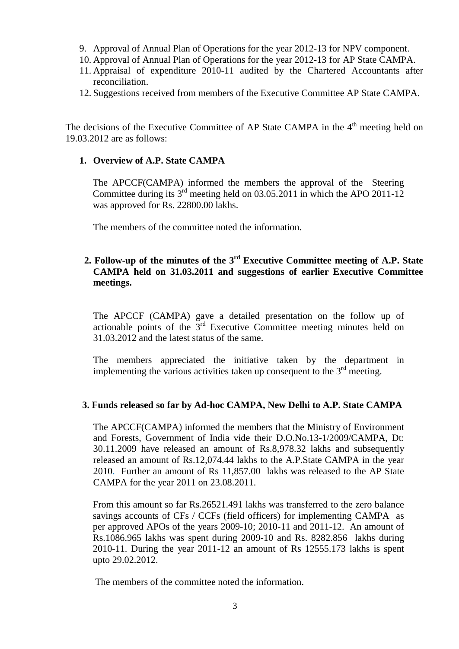- 9. Approval of Annual Plan of Operations for the year 2012-13 for NPV component.
- 10. Approval of Annual Plan of Operations for the year 2012-13 for AP State CAMPA.
- 11. Appraisal of expenditure 2010-11 audited by the Chartered Accountants after reconciliation.
- 12. Suggestions received from members of the Executive Committee AP State CAMPA.

The decisions of the Executive Committee of AP State CAMPA in the  $4<sup>th</sup>$  meeting held on 19.03.2012 are as follows:

#### **1. Overview of A.P. State CAMPA**

The APCCF(CAMPA) informed the members the approval of the Steering Committee during its  $3<sup>rd</sup>$  meeting held on 03.05.2011 in which the APO 2011-12 was approved for Rs. 22800.00 lakhs.

The members of the committee noted the information.

#### 2. Follow-up of the minutes of the 3<sup>rd</sup> Executive Committee meeting of A.P. State **CAMPA held on 31.03.2011 and suggestions of earlier Executive Committee meetings.**

The APCCF (CAMPA) gave a detailed presentation on the follow up of actionable points of the  $3<sup>rd</sup>$  Executive Committee meeting minutes held on 31.03.2012 and the latest status of the same.

The members appreciated the initiative taken by the department in implementing the various activities taken up consequent to the  $3<sup>rd</sup>$  meeting.

#### **3. Funds released so far by Ad-hoc CAMPA, New Delhi to A.P. State CAMPA**

The APCCF(CAMPA) informed the members that the Ministry of Environment and Forests, Government of India vide their D.O.No.13-1/2009/CAMPA, Dt: 30.11.2009 have released an amount of Rs.8,978.32 lakhs and subsequently released an amount of Rs.12,074.44 lakhs to the A.P.State CAMPA in the year 2010. Further an amount of Rs 11,857.00 lakhs was released to the AP State CAMPA for the year 2011 on 23.08.2011.

From this amount so far Rs.26521.491 lakhs was transferred to the zero balance savings accounts of CFs / CCFs (field officers) for implementing CAMPA as per approved APOs of the years 2009-10; 2010-11 and 2011-12. An amount of Rs.1086.965 lakhs was spent during 2009-10 and Rs. 8282.856 lakhs during 2010-11. During the year 2011-12 an amount of Rs 12555.173 lakhs is spent upto 29.02.2012.

The members of the committee noted the information.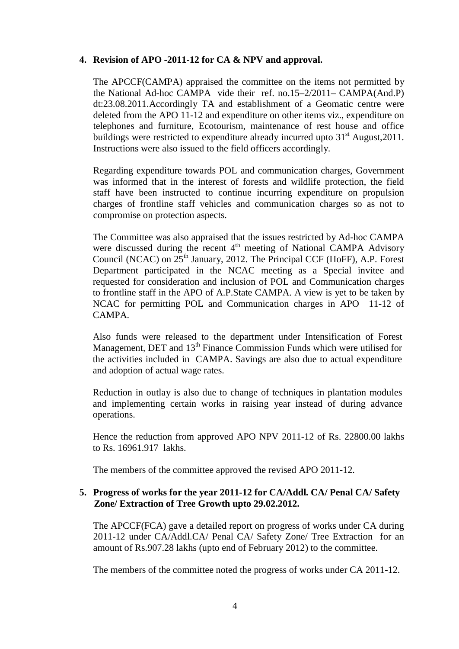#### **4. Revision of APO -2011-12 for CA & NPV and approval.**

The APCCF(CAMPA) appraised the committee on the items not permitted by the National Ad-hoc CAMPA vide their ref. no.15–2/2011– CAMPA(And.P) dt:23.08.2011.Accordingly TA and establishment of a Geomatic centre were deleted from the APO 11-12 and expenditure on other items viz., expenditure on telephones and furniture, Ecotourism, maintenance of rest house and office buildings were restricted to expenditure already incurred upto 31<sup>st</sup> August, 2011. Instructions were also issued to the field officers accordingly.

Regarding expenditure towards POL and communication charges, Government was informed that in the interest of forests and wildlife protection, the field staff have been instructed to continue incurring expenditure on propulsion charges of frontline staff vehicles and communication charges so as not to compromise on protection aspects.

The Committee was also appraised that the issues restricted by Ad-hoc CAMPA were discussed during the recent  $4<sup>th</sup>$  meeting of National CAMPA Advisory Council (NCAC) on  $25<sup>th</sup>$  January, 2012. The Principal CCF (HoFF), A.P. Forest Department participated in the NCAC meeting as a Special invitee and requested for consideration and inclusion of POL and Communication charges to frontline staff in the APO of A.P.State CAMPA. A view is yet to be taken by NCAC for permitting POL and Communication charges in APO 11-12 of CAMPA.

Also funds were released to the department under Intensification of Forest Management, DET and  $13<sup>th</sup>$  Finance Commission Funds which were utilised for the activities included in CAMPA. Savings are also due to actual expenditure and adoption of actual wage rates.

Reduction in outlay is also due to change of techniques in plantation modules and implementing certain works in raising year instead of during advance operations.

Hence the reduction from approved APO NPV 2011-12 of Rs. 22800.00 lakhs to Rs. 16961.917lakhs.

The members of the committee approved the revised APO 2011-12.

#### **5. Progress of works for the year 2011-12 for CA/Addl. CA/ Penal CA/ Safety Zone/ Extraction of Tree Growth upto 29.02.2012.**

The APCCF(FCA) gave a detailed report on progress of works under CA during 2011-12 under CA/Addl.CA/ Penal CA/ Safety Zone/ Tree Extraction for an amount of Rs.907.28 lakhs (upto end of February 2012) to the committee.

The members of the committee noted the progress of works under CA 2011-12.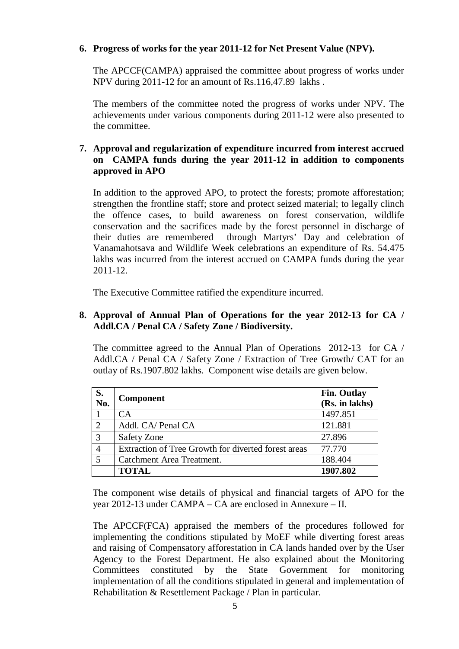#### **6. Progress of works for the year 2011-12 for Net Present Value (NPV).**

The APCCF(CAMPA) appraised the committee about progress of works under NPV during 2011-12 for an amount of Rs.116,47.89 lakhs .

The members of the committee noted the progress of works under NPV. The achievements under various components during 2011-12 were also presented to the committee.

### **7. Approval and regularization of expenditure incurred from interest accrued on CAMPA funds during the year 2011-12 in addition to components approved in APO**

In addition to the approved APO, to protect the forests; promote afforestation; strengthen the frontline staff; store and protect seized material; to legally clinch the offence cases, to build awareness on forest conservation, wildlife conservation and the sacrifices made by the forest personnel in discharge of their duties are remembered through Martyrs' Day and celebration of Vanamahotsava and Wildlife Week celebrations an expenditure of Rs. 54.475 lakhs was incurred from the interest accrued on CAMPA funds during the year 2011-12.

The Executive Committee ratified the expenditure incurred.

### **8. Approval of Annual Plan of Operations for the year 2012-13 for CA / Addl.CA / Penal CA / Safety Zone / Biodiversity.**

The committee agreed to the Annual Plan of Operations 2012-13 for CA / Addl.CA / Penal CA / Safety Zone / Extraction of Tree Growth/ CAT for an outlay of Rs.1907.802 lakhs. Component wise details are given below.

| S.<br>No. | <b>Component</b>                                    | <b>Fin. Outlay</b> |
|-----------|-----------------------------------------------------|--------------------|
|           |                                                     | (Rs. in lakhs)     |
|           | CA                                                  | 1497.851           |
| 2         | Addl. CA/ Penal CA                                  | 121.881            |
| 3         | Safety Zone                                         | 27.896             |
|           | Extraction of Tree Growth for diverted forest areas | 77.770             |
| 5         | Catchment Area Treatment.                           | 188.404            |
|           | <b>TOTAL</b>                                        | 1907.802           |

The component wise details of physical and financial targets of APO for the year 2012-13 under CAMPA – CA are enclosed in Annexure – II.

The APCCF(FCA) appraised the members of the procedures followed for implementing the conditions stipulated by MoEF while diverting forest areas and raising of Compensatory afforestation in CA lands handed over by the User Agency to the Forest Department. He also explained about the Monitoring Committees constituted by the State Government for monitoring implementation of all the conditions stipulated in general and implementation of Rehabilitation & Resettlement Package / Plan in particular.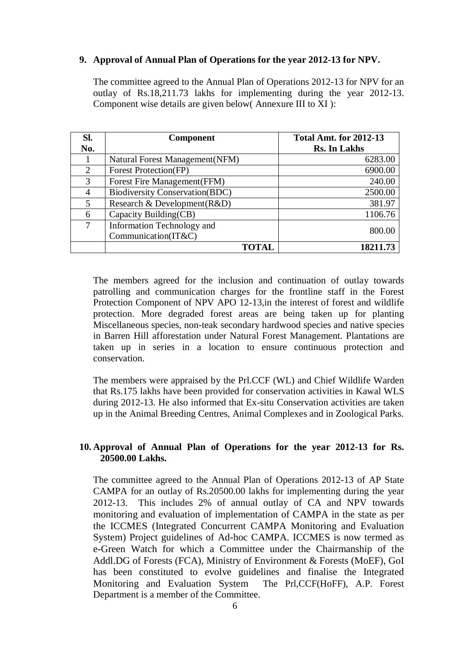#### **9. Approval of Annual Plan of Operations for the year 2012-13 for NPV.**

The committee agreed to the Annual Plan of Operations 2012-13 for NPV for an outlay of Rs.18,211.73 lakhs for implementing during the year 2012-13. Component wise details are given below( Annexure III to XI ):

| SI.           | <b>Component</b>                      | <b>Total Amt. for 2012-13</b> |
|---------------|---------------------------------------|-------------------------------|
| No.           |                                       | <b>Rs. In Lakhs</b>           |
|               | Natural Forest Management (NFM)       | 6283.00                       |
| 2             | Forest Protection(FP)                 | 6900.00                       |
| $\mathcal{R}$ | Forest Fire Management (FFM)          | 240.00                        |
| 4             | <b>Biodiversity Conservation(BDC)</b> | 2500.00                       |
| 5.            | Research & Development(R&D)           | 381.97                        |
| 6             | Capacity Building(CB)                 | 1106.76                       |
|               | Information Technology and            | 800.00                        |
|               | Communication(IT&C)                   |                               |
|               |                                       | 18211.73                      |

The members agreed for the inclusion and continuation of outlay towards patrolling and communication charges for the frontline staff in the Forest Protection Component of NPV APO 12-13,in the interest of forest and wildlife protection. More degraded forest areas are being taken up for planting Miscellaneous species, non-teak secondary hardwood species and native species in Barren Hill afforestation under Natural Forest Management. Plantations are taken up in series in a location to ensure continuous protection and conservation.

The members were appraised by the Prl.CCF (WL) and Chief Wildlife Warden that Rs.175 lakhs have been provided for conservation activities in Kawal WLS during 2012-13. He also informed that Ex-situ Conservation activities are taken up in the Animal Breeding Centres, Animal Complexes and in Zoological Parks.

### **10. Approval of Annual Plan of Operations for the year 2012-13 for Rs. 20500.00 Lakhs.**

The committee agreed to the Annual Plan of Operations 2012-13 of AP State CAMPA for an outlay of Rs.20500.00 lakhs for implementing during the year 2012-13. This includes 2% of annual outlay of CA and NPV towards monitoring and evaluation of implementation of CAMPA in the state as per the ICCMES (Integrated Concurrent CAMPA Monitoring and Evaluation System) Project guidelines of Ad-hoc CAMPA. ICCMES is now termed as e-Green Watch for which a Committee under the Chairmanship of the Addl.DG of Forests (FCA), Ministry of Environment & Forests (MoEF), GoI has been constituted to evolve guidelines and finalise the Integrated Monitoring and Evaluation System The Prl,CCF(HoFF), A.P. Forest Department is a member of the Committee.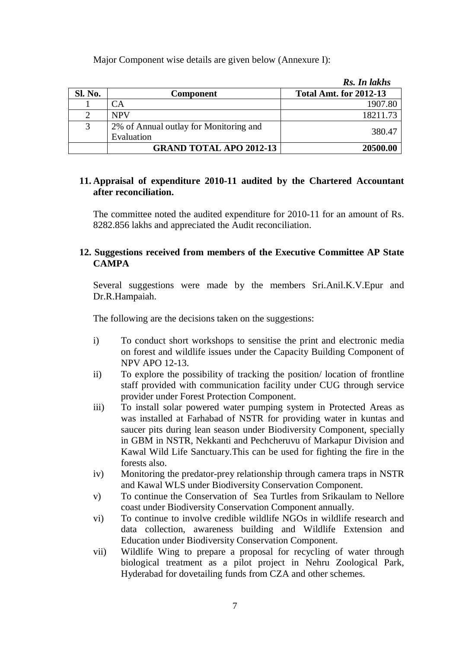Major Component wise details are given below (Annexure I):

|         |                                                      | Rs. In lakhs                  |
|---------|------------------------------------------------------|-------------------------------|
| Sl. No. | <b>Component</b>                                     | <b>Total Amt. for 2012-13</b> |
|         | CА                                                   | 1907.80                       |
|         | <b>NPV</b>                                           | 18211.73                      |
| 3       | 2% of Annual outlay for Monitoring and<br>Evaluation | 380.47                        |
|         | <b>GRAND TOTAL APO 2012-13</b>                       | 20500.00                      |

#### **11. Appraisal of expenditure 2010-11 audited by the Chartered Accountant after reconciliation.**

The committee noted the audited expenditure for 2010-11 for an amount of Rs. 8282.856 lakhs and appreciated the Audit reconciliation.

### **12. Suggestions received from members of the Executive Committee AP State CAMPA**

Several suggestions were made by the members Sri.Anil.K.V.Epur and Dr.R.Hampaiah.

The following are the decisions taken on the suggestions:

- i) To conduct short workshops to sensitise the print and electronic media on forest and wildlife issues under the Capacity Building Component of NPV APO 12-13.
- ii) To explore the possibility of tracking the position/ location of frontline staff provided with communication facility under CUG through service provider under Forest Protection Component.
- iii) To install solar powered water pumping system in Protected Areas as was installed at Farhabad of NSTR for providing water in kuntas and saucer pits during lean season under Biodiversity Component, specially in GBM in NSTR, Nekkanti and Pechcheruvu of Markapur Division and Kawal Wild Life Sanctuary.This can be used for fighting the fire in the forests also.
- iv) Monitoring the predator-prey relationship through camera traps in NSTR and Kawal WLS under Biodiversity Conservation Component.
- v) To continue the Conservation of Sea Turtles from Srikaulam to Nellore coast under Biodiversity Conservation Component annually.
- vi) To continue to involve credible wildlife NGOs in wildlife research and data collection, awareness building and Wildlife Extension and Education under Biodiversity Conservation Component.
- vii) Wildlife Wing to prepare a proposal for recycling of water through biological treatment as a pilot project in Nehru Zoological Park, Hyderabad for dovetailing funds from CZA and other schemes.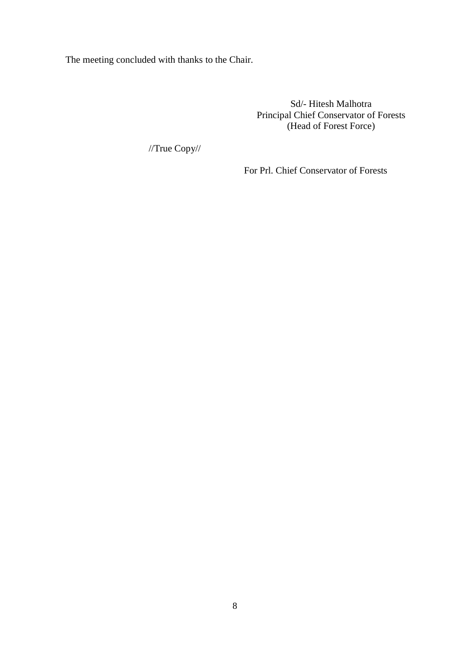The meeting concluded with thanks to the Chair.

Sd/- Hitesh Malhotra Principal Chief Conservator of Forests (Head of Forest Force)

//True Copy//

For Prl. Chief Conservator of Forests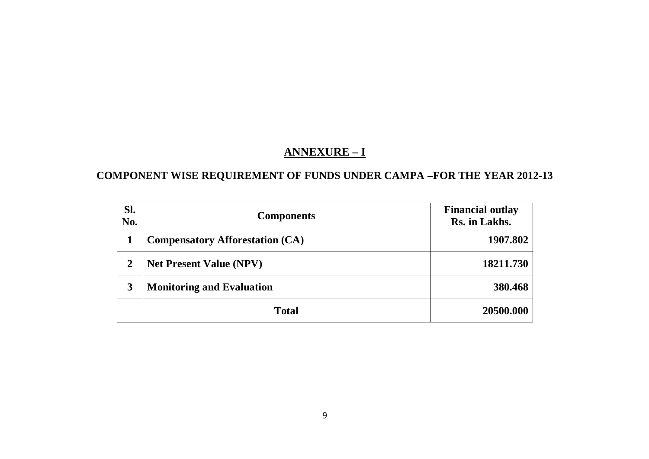# **ANNEXURE – I**

### **COMPONENT WISE REQUIREMENT OF FUNDS UNDER CAMPA –FOR THE YEAR 2012-13**

| Sl.<br>No.     | <b>Components</b>                      | <b>Financial outlay</b><br>Rs. in Lakhs. |
|----------------|----------------------------------------|------------------------------------------|
|                | <b>Compensatory Afforestation (CA)</b> | 1907.802                                 |
| $\overline{2}$ | <b>Net Present Value (NPV)</b>         | 18211.730                                |
| 3              | <b>Monitoring and Evaluation</b>       | 380.468                                  |
|                | <b>Total</b>                           | 20500.000                                |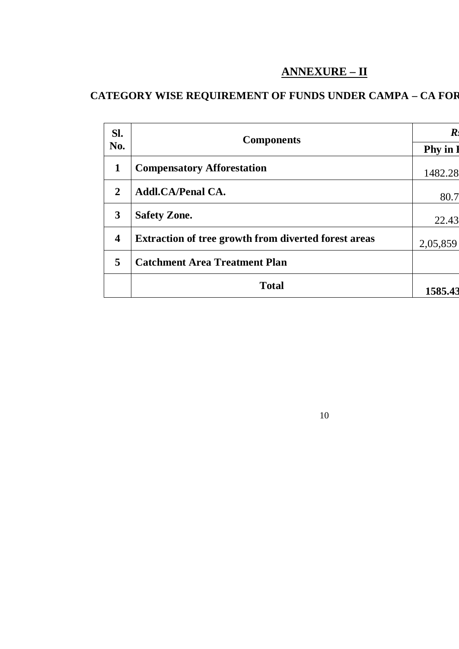# **ANNEXURE – II**

# **CATEGORY WISE REQUIREMENT OF FUNDS UNDER CAMPA – CA FOR**

| SI.                     | <b>Components</b>                                           | $\boldsymbol{R}$ |
|-------------------------|-------------------------------------------------------------|------------------|
| No.                     |                                                             | <b>Phy</b> in    |
| $\mathbf{1}$            | <b>Compensatory Afforestation</b>                           | 1482.28          |
| $\overline{2}$          | <b>Addl.CA/Penal CA.</b>                                    | 80.7             |
| 3                       | <b>Safety Zone.</b>                                         | 22.43            |
| $\overline{\mathbf{4}}$ | <b>Extraction of tree growth from diverted forest areas</b> | 2,05,859         |
| 5                       | <b>Catchment Area Treatment Plan</b>                        |                  |
|                         | <b>Total</b>                                                | 1585.43          |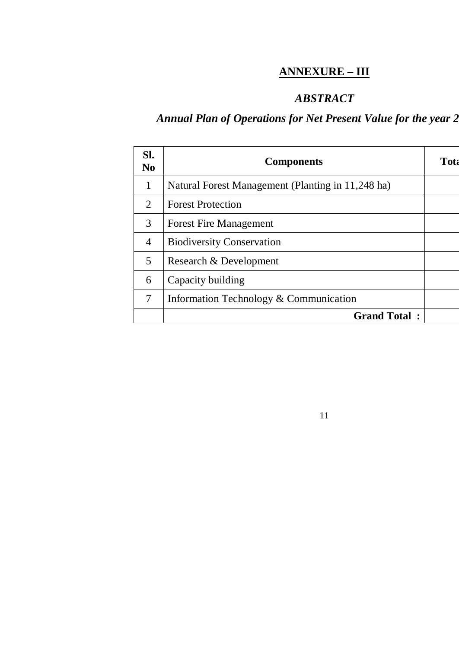# **ANNEXURE – III**

# *ABSTRACT*

11

# Annual Plan of Operations for Net Present Value for the year 2

| SI.<br>$\bf No$ | <b>Components</b>                                 | Tota |
|-----------------|---------------------------------------------------|------|
| 1               | Natural Forest Management (Planting in 11,248 ha) |      |
| 2               | <b>Forest Protection</b>                          |      |
| 3               | <b>Forest Fire Management</b>                     |      |
| $\overline{4}$  | <b>Biodiversity Conservation</b>                  |      |
| 5               | Research & Development                            |      |
| 6               | Capacity building                                 |      |
| 7               | Information Technology & Communication            |      |
|                 | <b>Grand Total:</b>                               |      |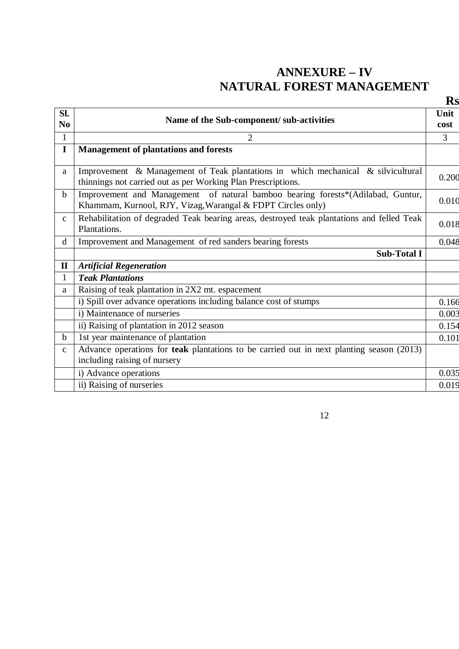# **ANNEXURE – IV NATURAL FOREST MANAGEMENT**

|                       |                                                                                                                                                  | Rs           |
|-----------------------|--------------------------------------------------------------------------------------------------------------------------------------------------|--------------|
| SI.<br>N <sub>0</sub> | Name of the Sub-component/ sub-activities                                                                                                        | Unit<br>cost |
| $\mathbf{1}$          | $\overline{2}$                                                                                                                                   | 3            |
| $\mathbf I$           | <b>Management of plantations and forests</b>                                                                                                     |              |
| a                     | Improvement & Management of Teak plantations in which mechanical & silvicultural<br>thinnings not carried out as per Working Plan Prescriptions. | 0.200        |
| $\mathbf b$           | Improvement and Management of natural bamboo bearing forests*(Adilabad, Guntur,<br>Khammam, Kurnool, RJY, Vizag, Warangal & FDPT Circles only)   | 0.010        |
| $\mathbf{C}$          | Rehabilitation of degraded Teak bearing areas, destroyed teak plantations and felled Teak<br>Plantations.                                        | 0.018        |
| $\mathbf d$           | Improvement and Management of red sanders bearing forests                                                                                        | 0.048        |
|                       | <b>Sub-Total I</b>                                                                                                                               |              |
| $\mathbf{I}$          | <b>Artificial Regeneration</b>                                                                                                                   |              |
| 1                     | <b>Teak Plantations</b>                                                                                                                          |              |
| a                     | Raising of teak plantation in 2X2 mt. espacement                                                                                                 |              |
|                       | i) Spill over advance operations including balance cost of stumps                                                                                | 0.166        |
|                       | i) Maintenance of nurseries                                                                                                                      | 0.003        |
|                       | ii) Raising of plantation in 2012 season                                                                                                         | 0.154        |
| b                     | 1st year maintenance of plantation                                                                                                               | 0.101        |
| $\mathbf{C}$          | Advance operations for <b>teak</b> plantations to be carried out in next planting season (2013)<br>including raising of nursery                  |              |
|                       | i) Advance operations                                                                                                                            | 0.035        |
|                       | ii) Raising of nurseries                                                                                                                         | 0.019        |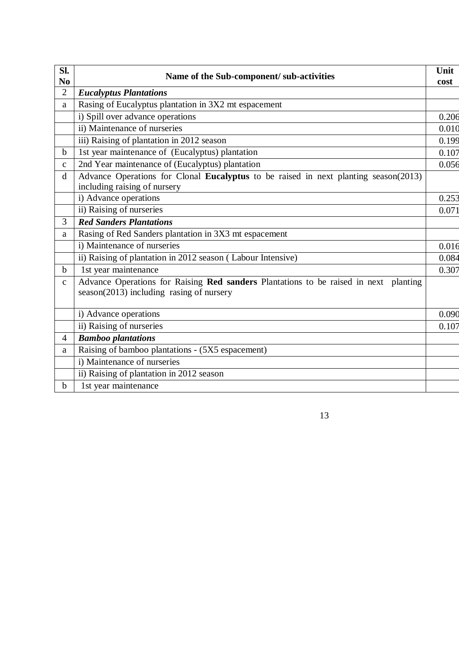| Sl.<br>N <sub>0</sub> | Name of the Sub-component/ sub-activities                                                                                          | Unit<br>cost |
|-----------------------|------------------------------------------------------------------------------------------------------------------------------------|--------------|
| $\overline{2}$        | <b>Eucalyptus Plantations</b>                                                                                                      |              |
| a                     | Rasing of Eucalyptus plantation in 3X2 mt espacement                                                                               |              |
|                       | i) Spill over advance operations                                                                                                   | 0.206        |
|                       | ii) Maintenance of nurseries                                                                                                       | 0.010        |
|                       | iii) Raising of plantation in 2012 season                                                                                          | 0.199        |
| $\mathbf b$           | 1st year maintenance of (Eucalyptus) plantation                                                                                    | 0.107        |
| $\mathbf C$           | 2nd Year maintenance of (Eucalyptus) plantation                                                                                    | 0.056        |
| d                     | Advance Operations for Clonal Eucalyptus to be raised in next planting season(2013)<br>including raising of nursery                |              |
|                       | i) Advance operations                                                                                                              | 0.253        |
|                       | ii) Raising of nurseries                                                                                                           | 0.071        |
| 3                     | <b>Red Sanders Plantations</b>                                                                                                     |              |
| a                     | Rasing of Red Sanders plantation in 3X3 mt espacement                                                                              |              |
|                       | i) Maintenance of nurseries                                                                                                        | 0.016        |
|                       | ii) Raising of plantation in 2012 season (Labour Intensive)                                                                        | 0.084        |
| $\mathbf b$           | 1st year maintenance                                                                                                               | 0.307        |
| $\mathbf c$           | Advance Operations for Raising Red sanders Plantations to be raised in next planting<br>$season(2013)$ including rasing of nursery |              |
|                       | i) Advance operations                                                                                                              | 0.090        |
|                       | ii) Raising of nurseries                                                                                                           | 0.107        |
| 4                     | <b>Bamboo plantations</b>                                                                                                          |              |
| a                     | Raising of bamboo plantations - (5X5 espacement)                                                                                   |              |
|                       | i) Maintenance of nurseries                                                                                                        |              |
|                       | ii) Raising of plantation in 2012 season                                                                                           |              |
| $\mathbf b$           | 1st year maintenance                                                                                                               |              |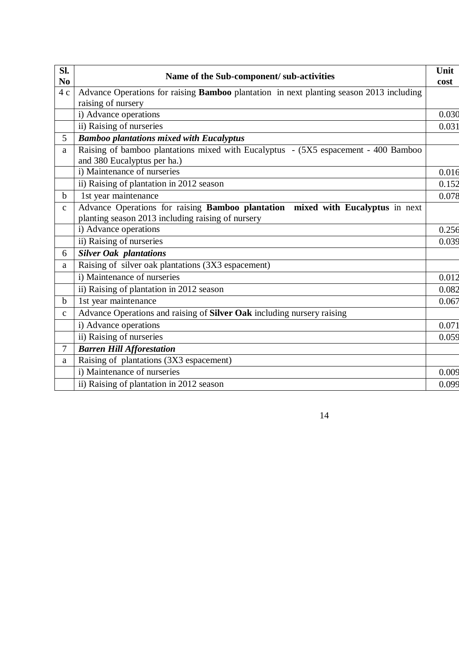| Sl.<br>N <sub>0</sub> | Name of the Sub-component/ sub-activities                                                                                           | Unit<br>cost |
|-----------------------|-------------------------------------------------------------------------------------------------------------------------------------|--------------|
| 4c                    | Advance Operations for raising Bamboo plantation in next planting season 2013 including                                             |              |
|                       | raising of nursery                                                                                                                  |              |
|                       | i) Advance operations                                                                                                               | 0.030        |
|                       | ii) Raising of nurseries                                                                                                            | 0.031        |
| 5                     | <b>Bamboo plantations mixed with Eucalyptus</b>                                                                                     |              |
| a                     | Raising of bamboo plantations mixed with Eucalyptus - (5X5 espacement - 400 Bamboo<br>and 380 Eucalyptus per ha.)                   |              |
|                       | i) Maintenance of nurseries                                                                                                         | 0.016        |
|                       | ii) Raising of plantation in 2012 season                                                                                            | 0.152        |
| $\mathbf b$           | 1st year maintenance                                                                                                                | 0.078        |
| $\mathbf{C}$          | Advance Operations for raising Bamboo plantation mixed with Eucalyptus in next<br>planting season 2013 including raising of nursery |              |
|                       | i) Advance operations                                                                                                               | 0.256        |
|                       | ii) Raising of nurseries                                                                                                            | 0.039        |
| 6                     | <b>Silver Oak plantations</b>                                                                                                       |              |
| a                     | Raising of silver oak plantations (3X3 espacement)                                                                                  |              |
|                       | i) Maintenance of nurseries                                                                                                         | 0.012        |
|                       | ii) Raising of plantation in 2012 season                                                                                            | 0.082        |
| $\mathbf b$           | 1st year maintenance                                                                                                                | 0.067        |
| $\mathbf{C}$          | Advance Operations and raising of Silver Oak including nursery raising                                                              |              |
|                       | i) Advance operations                                                                                                               | 0.071        |
|                       | ii) Raising of nurseries                                                                                                            | 0.059        |
| 7                     | <b>Barren Hill Afforestation</b>                                                                                                    |              |
| a                     | Raising of plantations (3X3 espacement)                                                                                             |              |
|                       | i) Maintenance of nurseries                                                                                                         | 0.009        |
|                       | ii) Raising of plantation in 2012 season                                                                                            | 0.099        |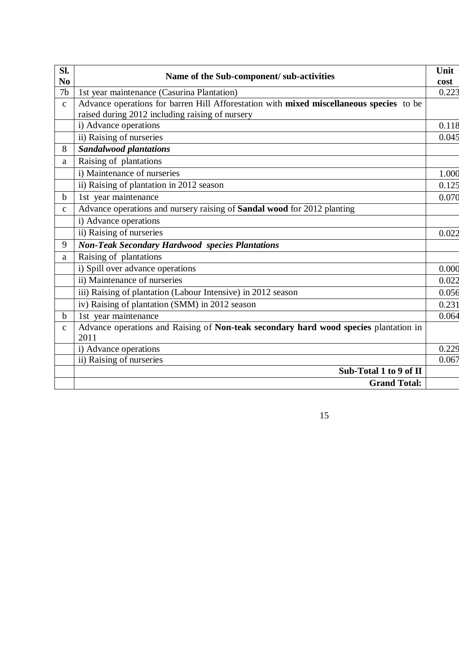| Sl.            | Name of the Sub-component/ sub-activities                                               | Unit  |
|----------------|-----------------------------------------------------------------------------------------|-------|
| N <sub>0</sub> |                                                                                         | cost  |
| 7 <sub>b</sub> | 1st year maintenance (Casurina Plantation)                                              | 0.223 |
| $\mathbf{C}$   | Advance operations for barren Hill Afforestation with mixed miscellaneous species to be |       |
|                | raised during 2012 including raising of nursery                                         |       |
|                | i) Advance operations                                                                   | 0.118 |
|                | ii) Raising of nurseries                                                                | 0.045 |
| 8              | <b>Sandalwood plantations</b>                                                           |       |
| a              | Raising of plantations                                                                  |       |
|                | i) Maintenance of nurseries                                                             | 1.000 |
|                | ii) Raising of plantation in 2012 season                                                | 0.125 |
| $\mathbf b$    | 1st year maintenance                                                                    | 0.070 |
| $\mathbf{C}$   | Advance operations and nursery raising of Sandal wood for 2012 planting                 |       |
|                | i) Advance operations                                                                   |       |
|                | ii) Raising of nurseries                                                                | 0.022 |
| 9              | <b>Non-Teak Secondary Hardwood species Plantations</b>                                  |       |
| a              | Raising of plantations                                                                  |       |
|                | i) Spill over advance operations                                                        | 0.000 |
|                | ii) Maintenance of nurseries                                                            | 0.022 |
|                | iii) Raising of plantation (Labour Intensive) in 2012 season                            | 0.056 |
|                | iv) Raising of plantation (SMM) in 2012 season                                          | 0.231 |
| $\mathbf b$    | 1st year maintenance                                                                    | 0.064 |
| $\mathbf{C}$   | Advance operations and Raising of Non-teak secondary hard wood species plantation in    |       |
|                | 2011                                                                                    |       |
|                | i) Advance operations                                                                   | 0.229 |
|                | ii) Raising of nurseries                                                                | 0.067 |
|                | Sub-Total 1 to 9 of II                                                                  |       |
|                | <b>Grand Total:</b>                                                                     |       |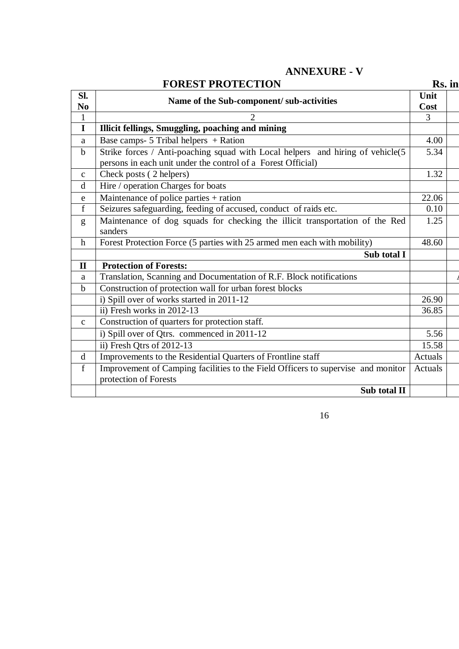**ANNEXURE - V**

|                       | <b>FOREST PROTECTION</b>                                                                                                                       | Rs. in         |  |
|-----------------------|------------------------------------------------------------------------------------------------------------------------------------------------|----------------|--|
| Sl.<br>N <sub>0</sub> | Name of the Sub-component/ sub-activities                                                                                                      | Unit<br>Cost   |  |
| $\mathbf{1}$          | 2                                                                                                                                              | $\overline{3}$ |  |
| $\mathbf I$           | Illicit fellings, Smuggling, poaching and mining                                                                                               |                |  |
| a                     | Base camps- $5$ Tribal helpers + Ration                                                                                                        | 4.00           |  |
| $\mathbf b$           | Strike forces / Anti-poaching squad with Local helpers and hiring of vehicle(5<br>persons in each unit under the control of a Forest Official) | 5.34           |  |
| $\mathbf{C}$          | Check posts (2 helpers)                                                                                                                        | 1.32           |  |
| d                     | Hire / operation Charges for boats                                                                                                             |                |  |
| e                     | Maintenance of police parties + ration                                                                                                         | 22.06          |  |
| $\mathbf f$           | Seizures safeguarding, feeding of accused, conduct of raids etc.                                                                               | 0.10           |  |
| g                     | Maintenance of dog squads for checking the illicit transportation of the Red<br>sanders                                                        | 1.25           |  |
| $\mathbf h$           | Forest Protection Force (5 parties with 25 armed men each with mobility)                                                                       | 48.60          |  |
|                       | Sub total I                                                                                                                                    |                |  |
| $\mathbf{I}$          | <b>Protection of Forests:</b>                                                                                                                  |                |  |
| a                     | Translation, Scanning and Documentation of R.F. Block notifications                                                                            |                |  |
| $\mathbf b$           | Construction of protection wall for urban forest blocks                                                                                        |                |  |
|                       | i) Spill over of works started in 2011-12                                                                                                      | 26.90          |  |
|                       | ii) Fresh works in 2012-13                                                                                                                     | 36.85          |  |
| $\mathbf C$           | Construction of quarters for protection staff.                                                                                                 |                |  |
|                       | i) Spill over of Qtrs. commenced in 2011-12                                                                                                    | 5.56           |  |
|                       | ii) Fresh Qtrs of 2012-13                                                                                                                      | 15.58          |  |
| d                     | Improvements to the Residential Quarters of Frontline staff                                                                                    | Actuals        |  |
| $\mathbf f$           | Improvement of Camping facilities to the Field Officers to supervise and monitor<br>protection of Forests                                      | Actuals        |  |
|                       | Sub total II                                                                                                                                   |                |  |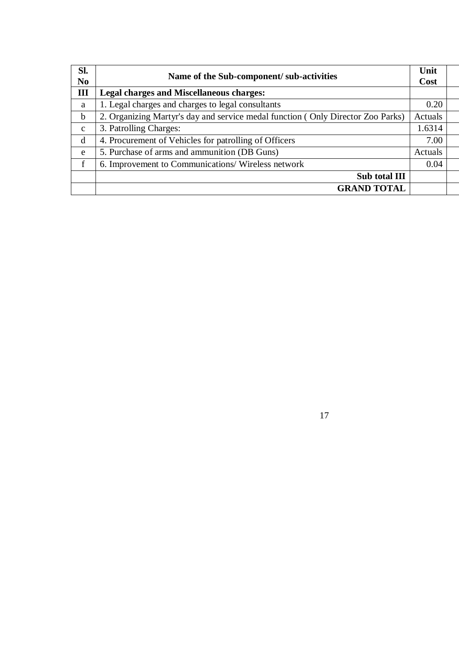| SI.<br>N <sub>0</sub> | Name of the Sub-component/ sub-activities                                       | Unit<br>Cost |  |
|-----------------------|---------------------------------------------------------------------------------|--------------|--|
| III                   | <b>Legal charges and Miscellaneous charges:</b>                                 |              |  |
| a                     | 1. Legal charges and charges to legal consultants                               | 0.20         |  |
| $\mathbf b$           | 2. Organizing Martyr's day and service medal function (Only Director Zoo Parks) | Actuals      |  |
| $\mathbf{C}$          | 3. Patrolling Charges:                                                          | 1.6314       |  |
| d                     | 4. Procurement of Vehicles for patrolling of Officers                           | 7.00         |  |
| e                     | 5. Purchase of arms and ammunition (DB Guns)                                    | Actuals      |  |
| $\mathbf{f}$          | 6. Improvement to Communications/Wireless network                               | 0.04         |  |
|                       | Sub total III                                                                   |              |  |
|                       | <b>GRAND TOTAL</b>                                                              |              |  |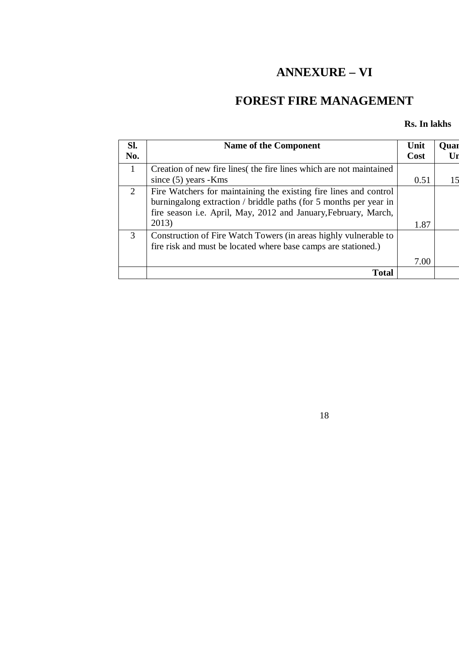# **ANNEXURE – VI**

# **FOREST FIRE MANAGEMENT**

### **Rs. In lakhs**

| Sl.<br>No.            | Name of the Component                                                                                                                                                                                     | Unit<br>Cost | Quar |
|-----------------------|-----------------------------------------------------------------------------------------------------------------------------------------------------------------------------------------------------------|--------------|------|
| $\mathbf{1}$          | Creation of new fire lines the fire lines which are not maintained                                                                                                                                        |              |      |
|                       | since $(5)$ years - Kms                                                                                                                                                                                   | 0.51         |      |
| $\mathcal{D}_{\cdot}$ | Fire Watchers for maintaining the existing fire lines and control<br>burningalong extraction / briddle paths (for 5 months per year in<br>fire season i.e. April, May, 2012 and January, February, March, |              |      |
|                       | 2013)                                                                                                                                                                                                     | 1.87         |      |
| 3                     | Construction of Fire Watch Towers (in areas highly vulnerable to<br>fire risk and must be located where base camps are stationed.)                                                                        |              |      |
|                       |                                                                                                                                                                                                           | 7.00         |      |
|                       | <b>Total</b>                                                                                                                                                                                              |              |      |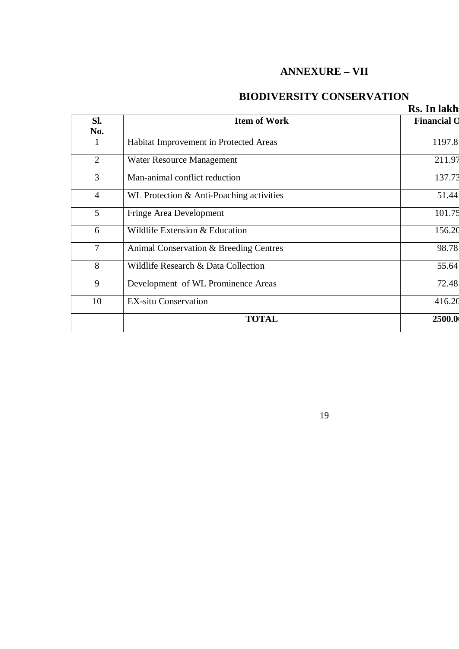### **ANNEXURE – VII**

### **BIODIVERSITY CONSERVATION**

|                |                                          | Rs. In lakh        |
|----------------|------------------------------------------|--------------------|
| SI.<br>No.     | <b>Item of Work</b>                      | <b>Financial O</b> |
| $\mathbf{1}$   | Habitat Improvement in Protected Areas   | 1197.8             |
| $\overline{2}$ | Water Resource Management                | 211.97             |
| 3              | Man-animal conflict reduction            | 137.73             |
| $\overline{4}$ | WL Protection & Anti-Poaching activities | 51.44              |
| 5              | Fringe Area Development                  | 101.75             |
| 6              | Wildlife Extension & Education           | 156.20             |
| 7              | Animal Conservation & Breeding Centres   | 98.78              |
| 8              | Wildlife Research & Data Collection      | 55.64              |
| 9              | Development of WL Prominence Areas       | 72.48              |
| 10             | <b>EX-situ Conservation</b>              | 416.20             |
|                | <b>TOTAL</b>                             | 2500.0             |
|                |                                          |                    |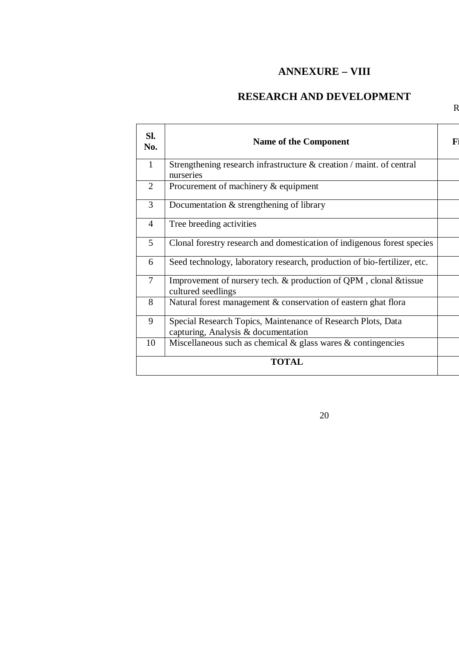### **ANNEXURE – VIII**

### **RESEARCH AND DEVELOPMENT**

 $\mathsf R$ 

| Sl.<br>No.     | <b>Name of the Component</b>                                                                        | F |
|----------------|-----------------------------------------------------------------------------------------------------|---|
| $\mathbf{1}$   | Strengthening research infrastructure & creation / maint. of central<br>nurseries                   |   |
| $\overline{2}$ | Procurement of machinery & equipment                                                                |   |
| 3              | Documentation & strengthening of library                                                            |   |
| $\overline{4}$ | Tree breeding activities                                                                            |   |
| 5              | Clonal forestry research and domestication of indigenous forest species                             |   |
| 6              | Seed technology, laboratory research, production of bio-fertilizer, etc.                            |   |
| $\overline{7}$ | Improvement of nursery tech. & production of QPM, clonal & tissue<br>cultured seedlings             |   |
| 8              | Natural forest management & conservation of eastern ghat flora                                      |   |
| 9              | Special Research Topics, Maintenance of Research Plots, Data<br>capturing, Analysis & documentation |   |
| 10             | Miscellaneous such as chemical $\&$ glass wares $\&$ contingencies                                  |   |
|                | <b>TOTAL</b>                                                                                        |   |
|                |                                                                                                     |   |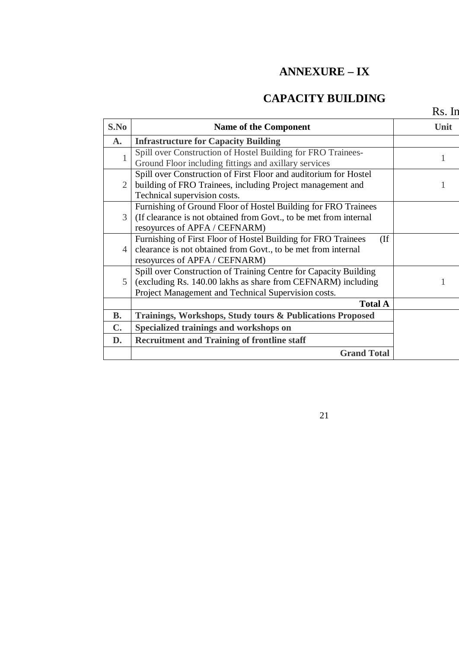### **ANNEXURE – IX**

### **CAPACITY BUILDING**

21

 $Rs. In$ 

| S.No           | <b>Name of the Component</b>                                          | Unit |
|----------------|-----------------------------------------------------------------------|------|
| A.             | <b>Infrastructure for Capacity Building</b>                           |      |
|                | Spill over Construction of Hostel Building for FRO Trainees-          |      |
|                | Ground Floor including fittings and axillary services                 |      |
| $\overline{2}$ | Spill over Construction of First Floor and auditorium for Hostel      |      |
|                | building of FRO Trainees, including Project management and            |      |
|                | Technical supervision costs.                                          |      |
| 3              | Furnishing of Ground Floor of Hostel Building for FRO Trainees        |      |
|                | (If clearance is not obtained from Govt., to be met from internal     |      |
|                | resoyurces of APFA / CEFNARM)                                         |      |
|                | Furnishing of First Floor of Hostel Building for FRO Trainees<br>(If) |      |
| $\overline{4}$ | clearance is not obtained from Govt., to be met from internal         |      |
|                | resoyurces of APFA / CEFNARM)                                         |      |
|                | Spill over Construction of Training Centre for Capacity Building      |      |
| 5              | (excluding Rs. 140.00 lakhs as share from CEFNARM) including          |      |
|                | Project Management and Technical Supervision costs.                   |      |
|                | <b>Total A</b>                                                        |      |
| <b>B.</b>      | Trainings, Workshops, Study tours & Publications Proposed             |      |
| $\mathbf{C}$ . | Specialized trainings and workshops on                                |      |
| D.             | <b>Recruitment and Training of frontline staff</b>                    |      |
|                | <b>Grand Total</b>                                                    |      |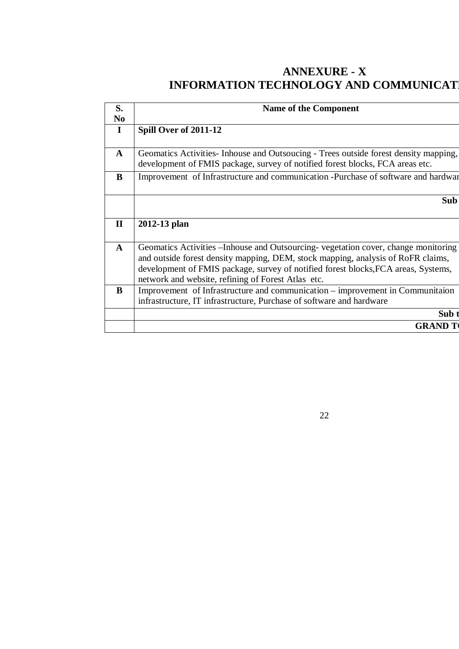### **ANNEXURE - X INFORMATION TECHNOLOGY AND COMMUNICAT**

| S.             | <b>Name of the Component</b>                                                          |
|----------------|---------------------------------------------------------------------------------------|
| N <sub>0</sub> |                                                                                       |
| $\mathbf I$    | Spill Over of 2011-12                                                                 |
|                |                                                                                       |
| $\mathbf{A}$   | Geomatics Activities - Inhouse and Outsoucing - Trees outside forest density mapping, |
|                | development of FMIS package, survey of notified forest blocks, FCA areas etc.         |
| B              | Improvement of Infrastructure and communication -Purchase of software and hardwar     |
|                |                                                                                       |
|                | Sub                                                                                   |
|                |                                                                                       |
| $\mathbf H$    | 2012-13 plan                                                                          |
|                |                                                                                       |
| A              | Geomatics Activities – Inhouse and Outsourcing-vegetation cover, change monitoring    |
|                | and outside forest density mapping, DEM, stock mapping, analysis of RoFR claims,      |
|                | development of FMIS package, survey of notified forest blocks, FCA areas, Systems,    |
|                | network and website, refining of Forest Atlas etc.                                    |
| B              | Improvement of Infrastructure and communication – improvement in Communitaion         |
|                | infrastructure, IT infrastructure, Purchase of software and hardware                  |
|                | Sub <sub>1</sub>                                                                      |
|                |                                                                                       |
|                | <b>GRAND 7</b>                                                                        |